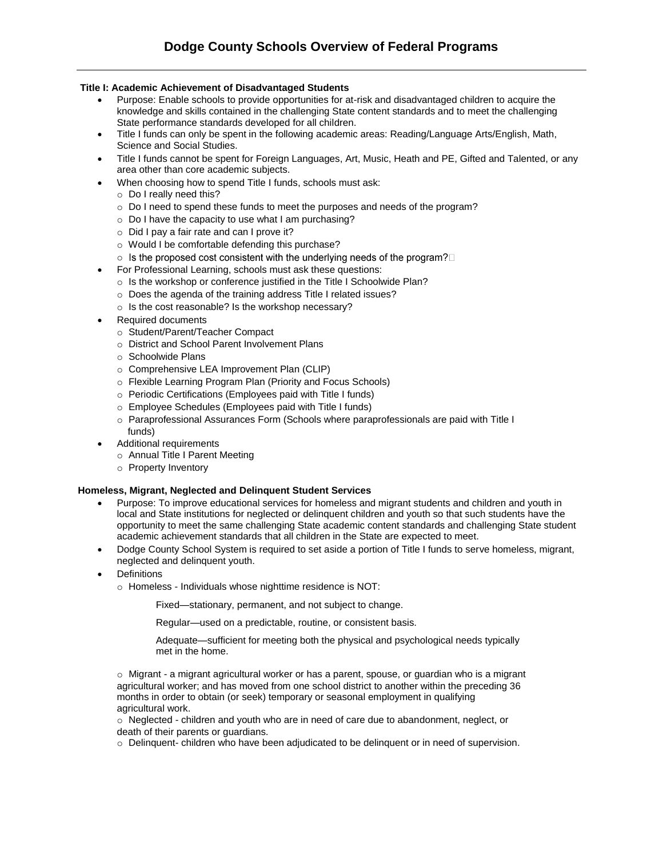# **Title I: Academic Achievement of Disadvantaged Students**

- Purpose: Enable schools to provide opportunities for at-risk and disadvantaged children to acquire the knowledge and skills contained in the challenging State content standards and to meet the challenging State performance standards developed for all children.
- Title I funds can only be spent in the following academic areas: Reading/Language Arts/English, Math, Science and Social Studies.
- Title I funds cannot be spent for Foreign Languages, Art, Music, Heath and PE, Gifted and Talented, or any area other than core academic subjects.
- When choosing how to spend Title I funds, schools must ask:
	- o Do I really need this?
	- o Do I need to spend these funds to meet the purposes and needs of the program?
	- o Do I have the capacity to use what I am purchasing?
	- o Did I pay a fair rate and can I prove it?
	- o Would I be comfortable defending this purchase?
	- $\circ$  Is the proposed cost consistent with the underlying needs of the program?  $\square$
- For Professional Learning, schools must ask these questions:
	- o Is the workshop or conference justified in the Title I Schoolwide Plan?
	- o Does the agenda of the training address Title I related issues?
	- o Is the cost reasonable? Is the workshop necessary?
- Required documents
	- o Student/Parent/Teacher Compact
	- o District and School Parent Involvement Plans
	- o Schoolwide Plans
	- o Comprehensive LEA Improvement Plan (CLIP)
	- o Flexible Learning Program Plan (Priority and Focus Schools)
	- o Periodic Certifications (Employees paid with Title I funds)
	- o Employee Schedules (Employees paid with Title I funds)
	- o Paraprofessional Assurances Form (Schools where paraprofessionals are paid with Title I funds)
	- Additional requirements
		- o Annual Title I Parent Meeting
		- o Property Inventory

#### **Homeless, Migrant, Neglected and Delinquent Student Services**

- Purpose: To improve educational services for homeless and migrant students and children and youth in local and State institutions for neglected or delinquent children and youth so that such students have the opportunity to meet the same challenging State academic content standards and challenging State student academic achievement standards that all children in the State are expected to meet.
- Dodge County School System is required to set aside a portion of Title I funds to serve homeless, migrant, neglected and delinquent youth.
- **Definitions** 
	- o Homeless Individuals whose nighttime residence is NOT:

Fixed—stationary, permanent, and not subject to change.

Regular—used on a predictable, routine, or consistent basis.

Adequate—sufficient for meeting both the physical and psychological needs typically met in the home.

o Migrant - a migrant agricultural worker or has a parent, spouse, or guardian who is a migrant agricultural worker; and has moved from one school district to another within the preceding 36 months in order to obtain (or seek) temporary or seasonal employment in qualifying agricultural work.

o Neglected - children and youth who are in need of care due to abandonment, neglect, or death of their parents or guardians.

o Delinquent- children who have been adjudicated to be delinquent or in need of supervision.